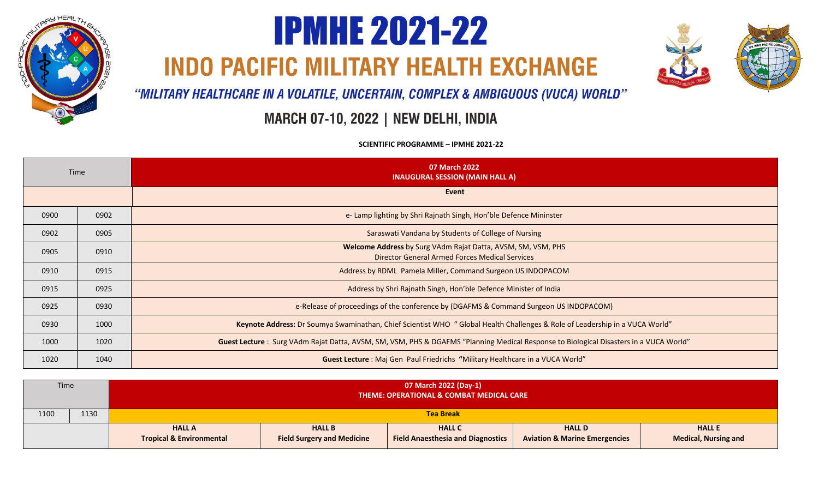

## **IPMHE 2021-22**

**INDO PACIFIC MILITARY HEALTH EXCHANGE** 



"MILITARY HEALTHCARE IN A VOLATILE, UNCERTAIN, COMPLEX & AMBIGUOUS (VUCA) WORLD"

## MARCH 07-10, 2022 | NEW DELHI, INDIA

**SCIENTIFIC PROGRAMME - IPMHE 2021-22** 

| Time |      | 07 March 2022<br><b>INAUGURAL SESSION (MAIN HALL A)</b>                                                                               |
|------|------|---------------------------------------------------------------------------------------------------------------------------------------|
|      |      | Event                                                                                                                                 |
| 0900 | 0902 | e- Lamp lighting by Shri Rajnath Singh, Hon'ble Defence Mininster                                                                     |
| 0902 | 0905 | Saraswati Vandana by Students of College of Nursing                                                                                   |
| 0905 | 0910 | Welcome Address by Surg VAdm Rajat Datta, AVSM, SM, VSM, PHS<br><b>Director General Armed Forces Medical Services</b>                 |
| 0910 | 0915 | Address by RDML Pamela Miller, Command Surgeon US INDOPACOM                                                                           |
| 0915 | 0925 | Address by Shri Rajnath Singh, Hon'ble Defence Minister of India                                                                      |
| 0925 | 0930 | e-Release of proceedings of the conference by (DGAFMS & Command Surgeon US INDOPACOM)                                                 |
| 0930 | 1000 | Keynote Address: Dr Soumya Swaminathan, Chief Scientist WHO "Global Health Challenges & Role of Leadership in a VUCA World"           |
| 1000 | 1020 | Guest Lecture: Surg VAdm Rajat Datta, AVSM, SM, VSM, PHS & DGAFMS "Planning Medical Response to Biological Disasters in a VUCA World" |
| 1020 | 1040 | Guest Lecture : Maj Gen Paul Friedrichs "Military Healthcare in a VUCA World"                                                         |

| <b>Time</b> |      | 07 March 2022 (Day-1)<br>THEME: OPERATIONAL & COMBAT MEDICAL CARE |                                                    |                                                           |                                                           |                                              |
|-------------|------|-------------------------------------------------------------------|----------------------------------------------------|-----------------------------------------------------------|-----------------------------------------------------------|----------------------------------------------|
| 1100        | 1130 |                                                                   | <b>Tea Break</b>                                   |                                                           |                                                           |                                              |
|             |      | <b>HALL A</b><br><b>Tropical &amp; Environmental</b>              | <b>HALL B</b><br><b>Field Surgery and Medicine</b> | <b>HALL C</b><br><b>Field Anaesthesia and Diagnostics</b> | <b>HALL D</b><br><b>Aviation &amp; Marine Emergencies</b> | <b>HALL E</b><br><b>Medical, Nursing and</b> |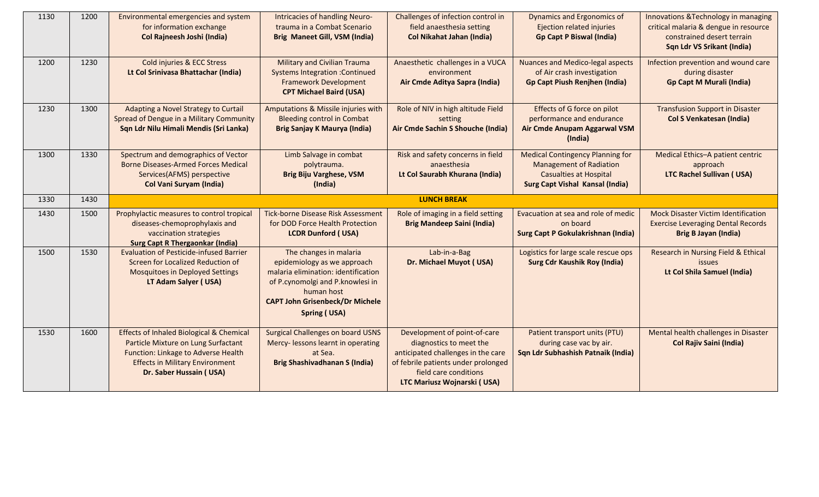| 1130 | 1200 | Environmental emergencies and system                                                       | Intricacies of handling Neuro-                                                | Challenges of infection control in                      | <b>Dynamics and Ergonomics of</b>                                       | Innovations & Technology in managing                                   |
|------|------|--------------------------------------------------------------------------------------------|-------------------------------------------------------------------------------|---------------------------------------------------------|-------------------------------------------------------------------------|------------------------------------------------------------------------|
|      |      | for information exchange                                                                   | trauma in a Combat Scenario                                                   | field anaesthesia setting                               | Ejection related injuries                                               | critical malaria & dengue in resource                                  |
|      |      | Col Rajneesh Joshi (India)                                                                 | Brig Maneet Gill, VSM (India)                                                 | <b>Col Nikahat Jahan (India)</b>                        | <b>Gp Capt P Biswal (India)</b>                                         | constrained desert terrain                                             |
|      |      |                                                                                            |                                                                               |                                                         |                                                                         | Sqn Ldr VS Srikant (India)                                             |
| 1200 | 1230 | Cold injuries & ECC Stress                                                                 | <b>Military and Civilian Trauma</b>                                           | Anaesthetic challenges in a VUCA                        | <b>Nuances and Medico-legal aspects</b>                                 | Infection prevention and wound care                                    |
|      |      | Lt Col Srinivasa Bhattachar (India)                                                        | <b>Systems Integration : Continued</b>                                        | environment                                             | of Air crash investigation                                              | during disaster                                                        |
|      |      |                                                                                            | <b>Framework Development</b>                                                  | Air Cmde Aditya Sapra (India)                           | <b>Gp Capt Piush Renjhen (India)</b>                                    | <b>Gp Capt M Murali (India)</b>                                        |
|      |      |                                                                                            | <b>CPT Michael Baird (USA)</b>                                                |                                                         |                                                                         |                                                                        |
| 1230 | 1300 | Adapting a Novel Strategy to Curtail                                                       | Amputations & Missile injuries with                                           | Role of NIV in high altitude Field                      | Effects of G force on pilot                                             | <b>Transfusion Support in Disaster</b>                                 |
|      |      | Spread of Dengue in a Military Community                                                   | <b>Bleeding control in Combat</b>                                             | setting                                                 | performance and endurance                                               | <b>Col S Venkatesan (India)</b>                                        |
|      |      | Sqn Ldr Nilu Himali Mendis (Sri Lanka)                                                     | Brig Sanjay K Maurya (India)                                                  | Air Cmde Sachin S Shouche (India)                       | Air Cmde Anupam Aggarwal VSM                                            |                                                                        |
|      |      |                                                                                            |                                                                               |                                                         | (India)                                                                 |                                                                        |
| 1300 | 1330 | Spectrum and demographics of Vector                                                        | Limb Salvage in combat                                                        | Risk and safety concerns in field                       | <b>Medical Contingency Planning for</b>                                 | Medical Ethics-A patient centric                                       |
|      |      | <b>Borne Diseases-Armed Forces Medical</b>                                                 | polytrauma.                                                                   | anaesthesia                                             | <b>Management of Radiation</b>                                          | approach                                                               |
|      |      | Services(AFMS) perspective<br><b>Col Vani Suryam (India)</b>                               | <b>Brig Biju Varghese, VSM</b><br>(India)                                     | Lt Col Saurabh Khurana (India)                          | <b>Casualties at Hospital</b><br><b>Surg Capt Vishal Kansal (India)</b> | <b>LTC Rachel Sullivan (USA)</b>                                       |
|      |      |                                                                                            |                                                                               |                                                         |                                                                         |                                                                        |
| 1330 | 1430 |                                                                                            |                                                                               | <b>LUNCH BREAK</b>                                      |                                                                         |                                                                        |
| 1430 | 1500 | Prophylactic measures to control tropical                                                  | <b>Tick-borne Disease Risk Assessment</b>                                     | Role of imaging in a field setting                      | Evacuation at sea and role of medic                                     | <b>Mock Disaster Victim Identification</b>                             |
|      |      | diseases-chemoprophylaxis and                                                              | for DOD Force Health Protection                                               | <b>Brig Mandeep Saini (India)</b>                       | on board                                                                | <b>Exercise Leveraging Dental Records</b>                              |
|      |      | vaccination strategies<br><b>Surg Capt R Thergaonkar (India)</b>                           | <b>LCDR Dunford (USA)</b>                                                     |                                                         | <b>Surg Capt P Gokulakrishnan (India)</b>                               | <b>Brig B Jayan (India)</b>                                            |
| 1500 | 1530 | <b>Evaluation of Pesticide-infused Barrier</b>                                             | The changes in malaria                                                        | Lab-in-a-Bag                                            | Logistics for large scale rescue ops                                    | Research in Nursing Field & Ethical                                    |
|      |      | Screen for Localized Reduction of                                                          | epidemiology as we approach                                                   | Dr. Michael Muyot (USA)                                 | <b>Surg Cdr Kaushik Roy (India)</b>                                     | <b>issues</b>                                                          |
|      |      | <b>Mosquitoes in Deployed Settings</b>                                                     | malaria elimination: identification                                           |                                                         |                                                                         | Lt Col Shila Samuel (India)                                            |
|      |      | LT Adam Salyer (USA)                                                                       | of P.cynomolgi and P.knowlesi in                                              |                                                         |                                                                         |                                                                        |
|      |      |                                                                                            | human host                                                                    |                                                         |                                                                         |                                                                        |
|      |      |                                                                                            | <b>CAPT John Grisenbeck/Dr Michele</b>                                        |                                                         |                                                                         |                                                                        |
|      |      |                                                                                            | <b>Spring (USA)</b>                                                           |                                                         |                                                                         |                                                                        |
| 1530 |      |                                                                                            |                                                                               |                                                         |                                                                         |                                                                        |
|      |      |                                                                                            |                                                                               |                                                         |                                                                         |                                                                        |
|      | 1600 | <b>Effects of Inhaled Biological &amp; Chemical</b><br>Particle Mixture on Lung Surfactant | <b>Surgical Challenges on board USNS</b><br>Mercy-lessons learnt in operating | Development of point-of-care<br>diagnostics to meet the | Patient transport units (PTU)<br>during case vac by air.                | Mental health challenges in Disaster<br><b>Col Rajiv Saini (India)</b> |
|      |      | Function: Linkage to Adverse Health                                                        | at Sea.                                                                       | anticipated challenges in the care                      | Sqn Ldr Subhashish Patnaik (India)                                      |                                                                        |
|      |      | <b>Effects in Military Environment</b>                                                     | <b>Brig Shashivadhanan S (India)</b>                                          | of febrile patients under prolonged                     |                                                                         |                                                                        |
|      |      | Dr. Saber Hussain (USA)                                                                    |                                                                               | field care conditions<br>LTC Mariusz Wojnarski (USA)    |                                                                         |                                                                        |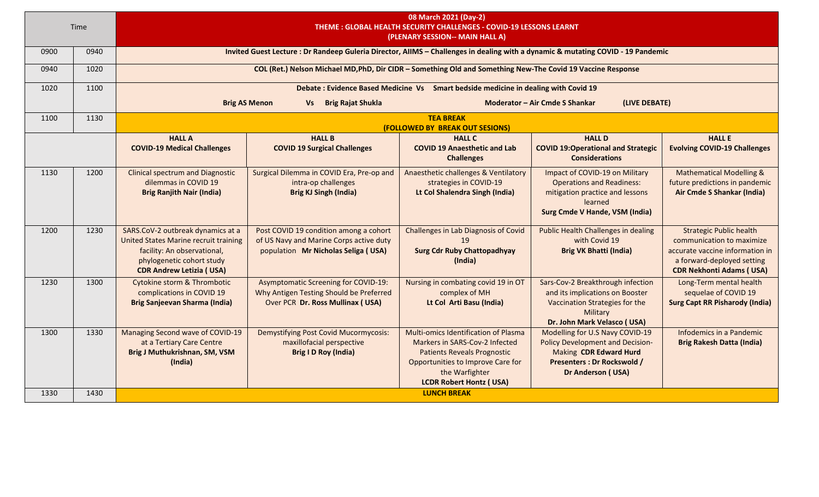| 08 March 2021 (Day-2)<br>Time<br>THEME : GLOBAL HEALTH SECURITY CHALLENGES - COVID-19 LESSONS LEARNT<br>(PLENARY SESSION-- MAIN HALL A) |      |                                                                                                                                                                           |                                                                                                                                  |                                                                                                                                                                                                       |                                                                                                                                                                 |                                                                                                                                                                 |  |
|-----------------------------------------------------------------------------------------------------------------------------------------|------|---------------------------------------------------------------------------------------------------------------------------------------------------------------------------|----------------------------------------------------------------------------------------------------------------------------------|-------------------------------------------------------------------------------------------------------------------------------------------------------------------------------------------------------|-----------------------------------------------------------------------------------------------------------------------------------------------------------------|-----------------------------------------------------------------------------------------------------------------------------------------------------------------|--|
| 0900                                                                                                                                    | 0940 |                                                                                                                                                                           | Invited Guest Lecture : Dr Randeep Guleria Director, AIIMS - Challenges in dealing with a dynamic & mutating COVID - 19 Pandemic |                                                                                                                                                                                                       |                                                                                                                                                                 |                                                                                                                                                                 |  |
| 0940                                                                                                                                    | 1020 |                                                                                                                                                                           | COL (Ret.) Nelson Michael MD, PhD, Dir CIDR - Something Old and Something New-The Covid 19 Vaccine Response                      |                                                                                                                                                                                                       |                                                                                                                                                                 |                                                                                                                                                                 |  |
| 1020                                                                                                                                    | 1100 |                                                                                                                                                                           |                                                                                                                                  | Debate : Evidence Based Medicine Vs Smart bedside medicine in dealing with Covid 19                                                                                                                   |                                                                                                                                                                 |                                                                                                                                                                 |  |
|                                                                                                                                         |      |                                                                                                                                                                           | Moderator - Air Cmde S Shankar<br>(LIVE DEBATE)<br><b>Brig AS Menon</b><br>Vs Brig Rajat Shukla                                  |                                                                                                                                                                                                       |                                                                                                                                                                 |                                                                                                                                                                 |  |
| 1100                                                                                                                                    | 1130 |                                                                                                                                                                           |                                                                                                                                  | <b>TEA BREAK</b><br><b>(FOLLOWED BY BREAK OUT SESIONS)</b>                                                                                                                                            |                                                                                                                                                                 |                                                                                                                                                                 |  |
|                                                                                                                                         |      | <b>HALL A</b><br><b>COVID-19 Medical Challenges</b>                                                                                                                       | <b>HALL B</b><br><b>COVID 19 Surgical Challenges</b>                                                                             | <b>HALL C</b><br><b>COVID 19 Anaesthetic and Lab</b><br><b>Challenges</b>                                                                                                                             | <b>HALL D</b><br><b>COVID 19:Operational and Strategic</b><br><b>Considerations</b>                                                                             | <b>HALL E</b><br><b>Evolving COVID-19 Challenges</b>                                                                                                            |  |
| 1130                                                                                                                                    | 1200 | <b>Clinical spectrum and Diagnostic</b><br>dilemmas in COVID 19<br><b>Brig Ranjith Nair (India)</b>                                                                       | Surgical Dilemma in COVID Era, Pre-op and<br>intra-op challenges<br><b>Brig KJ Singh (India)</b>                                 | Anaesthetic challenges & Ventilatory<br>strategies in COVID-19<br>Lt Col Shalendra Singh (India)                                                                                                      | Impact of COVID-19 on Military<br><b>Operations and Readiness:</b><br>mitigation practice and lessons<br>learned<br><b>Surg Cmde V Hande, VSM (India)</b>       | <b>Mathematical Modelling &amp;</b><br>future predictions in pandemic<br>Air Cmde S Shankar (India)                                                             |  |
| 1200                                                                                                                                    | 1230 | SARS.CoV-2 outbreak dynamics at a<br>United States Marine recruit training<br>facility: An observational,<br>phylogenetic cohort study<br><b>CDR Andrew Letizia (USA)</b> | Post COVID 19 condition among a cohort<br>of US Navy and Marine Corps active duty<br>population Mr Nicholas Seliga (USA)         | <b>Challenges in Lab Diagnosis of Covid</b><br>19<br><b>Surg Cdr Ruby Chattopadhyay</b><br>(India)                                                                                                    | <b>Public Health Challenges in dealing</b><br>with Covid 19<br><b>Brig VK Bhatti (India)</b>                                                                    | <b>Strategic Public health</b><br>communication to maximize<br>accurate vaccine information in<br>a forward-deployed setting<br><b>CDR Nekhonti Adams (USA)</b> |  |
| 1230                                                                                                                                    | 1300 | Cytokine storm & Thrombotic<br>complications in COVID 19<br>Brig Sanjeevan Sharma (India)                                                                                 | <b>Asymptomatic Screening for COVID-19:</b><br>Why Antigen Testing Should be Preferred<br>Over PCR Dr. Ross Mullinax (USA)       | Nursing in combating covid 19 in OT<br>complex of MH<br>Lt Col Arti Basu (India)                                                                                                                      | Sars-Cov-2 Breakthrough infection<br>and its implications on Booster<br>Vaccination Strategies for the<br>Military<br>Dr. John Mark Velasco (USA)               | Long-Term mental health<br>sequelae of COVID 19<br><b>Surg Capt RR Pisharody (India)</b>                                                                        |  |
| 1300                                                                                                                                    | 1330 | Managing Second wave of COVID-19<br>at a Tertiary Care Centre<br>Brig J Muthukrishnan, SM, VSM<br>(India)                                                                 | <b>Demystifying Post Covid Mucormycosis:</b><br>maxillofacial perspective<br><b>Brig I D Roy (India)</b>                         | Multi-omics Identification of Plasma<br>Markers in SARS-Cov-2 Infected<br><b>Patients Reveals Prognostic</b><br>Opportunities to Improve Care for<br>the Warfighter<br><b>LCDR Robert Hontz (USA)</b> | Modelling for U.S Navy COVID-19<br><b>Policy Development and Decision-</b><br>Making CDR Edward Hurd<br><b>Presenters : Dr Rockswold /</b><br>Dr Anderson (USA) | Infodemics in a Pandemic<br><b>Brig Rakesh Datta (India)</b>                                                                                                    |  |
| 1330                                                                                                                                    | 1430 |                                                                                                                                                                           |                                                                                                                                  | <b>LUNCH BREAK</b>                                                                                                                                                                                    |                                                                                                                                                                 |                                                                                                                                                                 |  |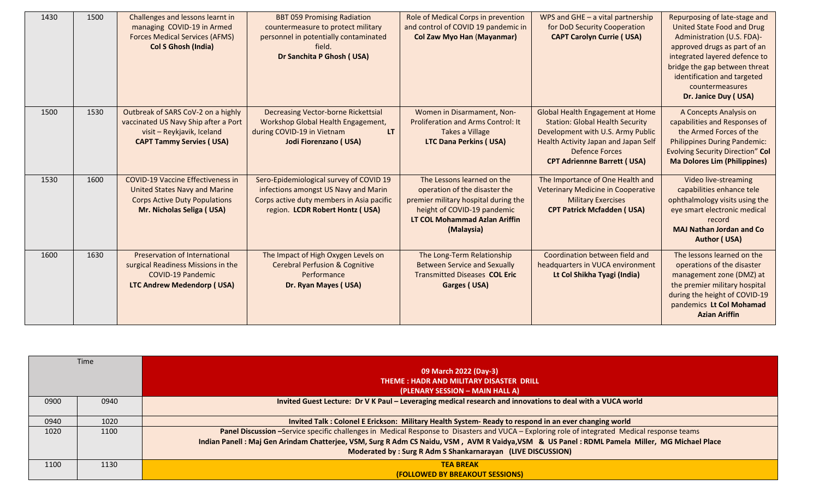| 1430 | 1500 | Challenges and lessons learnt in<br>managing COVID-19 in Armed<br><b>Forces Medical Services (AFMS)</b><br><b>Col S Ghosh (India)</b>                 | <b>BBT 059 Promising Radiation</b><br>countermeasure to protect military<br>personnel in potentially contaminated<br>field.<br>Dr Sanchita P Ghosh (USA)        | Role of Medical Corps in prevention<br>and control of COVID 19 pandemic in<br><b>Col Zaw Myo Han (Mayanmar)</b>                                                                   | WPS and GHE $-$ a vital partnership<br>for DoD Security Cooperation<br><b>CAPT Carolyn Currie (USA)</b>                                                                                                                       | Repurposing of late-stage and<br><b>United State Food and Drug</b><br>Administration (U.S. FDA)-<br>approved drugs as part of an<br>integrated layered defence to<br>bridge the gap between threat<br>identification and targeted<br>countermeasures<br>Dr. Janice Duy (USA) |
|------|------|-------------------------------------------------------------------------------------------------------------------------------------------------------|-----------------------------------------------------------------------------------------------------------------------------------------------------------------|-----------------------------------------------------------------------------------------------------------------------------------------------------------------------------------|-------------------------------------------------------------------------------------------------------------------------------------------------------------------------------------------------------------------------------|------------------------------------------------------------------------------------------------------------------------------------------------------------------------------------------------------------------------------------------------------------------------------|
| 1500 | 1530 | Outbreak of SARS CoV-2 on a highly<br>vaccinated US Navy Ship after a Port<br>visit - Reykjavik, Iceland<br><b>CAPT Tammy Servies (USA)</b>           | Decreasing Vector-borne Rickettsial<br>Workshop Global Health Engagement,<br>during COVID-19 in Vietnam<br>LT.<br>Jodi Fiorenzano (USA)                         | Women in Disarmament, Non-<br><b>Proliferation and Arms Control: It</b><br>Takes a Village<br><b>LTC Dana Perkins (USA)</b>                                                       | <b>Global Health Engagement at Home</b><br><b>Station: Global Health Security</b><br>Development with U.S. Army Public<br><b>Health Activity Japan and Japan Self</b><br>Defence Forces<br><b>CPT Adriennne Barrett (USA)</b> | A Concepts Analysis on<br>capabilities and Responses of<br>the Armed Forces of the<br><b>Philippines During Pandemic:</b><br><b>Evolving Security Direction" Col</b><br><b>Ma Dolores Lim (Philippines)</b>                                                                  |
| 1530 | 1600 | <b>COVID-19 Vaccine Effectiveness in</b><br><b>United States Navy and Marine</b><br><b>Corps Active Duty Populations</b><br>Mr. Nicholas Seliga (USA) | Sero-Epidemiological survey of COVID 19<br>infections amongst US Navy and Marin<br>Corps active duty members in Asia pacific<br>region. LCDR Robert Hontz (USA) | The Lessons learned on the<br>operation of the disaster the<br>premier military hospital during the<br>height of COVID-19 pandemic<br>LT COL Mohammad Azlan Ariffin<br>(Malaysia) | The Importance of One Health and<br><b>Veterinary Medicine in Cooperative</b><br><b>Military Exercises</b><br><b>CPT Patrick Mcfadden (USA)</b>                                                                               | Video live-streaming<br>capabilities enhance tele<br>ophthalmology visits using the<br>eye smart electronic medical<br>record<br><b>MAJ Nathan Jordan and Co</b><br><b>Author (USA)</b>                                                                                      |
| 1600 | 1630 | Preservation of International<br>surgical Readiness Missions in the<br><b>COVID-19 Pandemic</b><br><b>LTC Andrew Medendorp (USA)</b>                  | The Impact of High Oxygen Levels on<br><b>Cerebral Perfusion &amp; Cognitive</b><br>Performance<br>Dr. Ryan Mayes (USA)                                         | The Long-Term Relationship<br><b>Between Service and Sexually</b><br><b>Transmitted Diseases COL Eric</b><br>Garges (USA)                                                         | Coordination between field and<br>headquarters in VUCA environment<br>Lt Col Shikha Tyagi (India)                                                                                                                             | The lessons learned on the<br>operations of the disaster<br>management zone (DMZ) at<br>the premier military hospital<br>during the height of COVID-19<br>pandemics Lt Col Mohamad<br><b>Azian Ariffin</b>                                                                   |

| <b>Time</b> |      | 09 March 2022 (Day-3)<br>THEME: HADR AND MILITARY DISASTER DRILL<br>(PLENARY SESSION – MAIN HALL A)                                                                                                                                                                                                                                                            |
|-------------|------|----------------------------------------------------------------------------------------------------------------------------------------------------------------------------------------------------------------------------------------------------------------------------------------------------------------------------------------------------------------|
| 0900        | 0940 | Invited Guest Lecture: Dr V K Paul - Leveraging medical research and innovations to deal with a VUCA world                                                                                                                                                                                                                                                     |
| 0940        | 1020 | Invited Talk: Colonel E Erickson: Military Health System- Ready to respond in an ever changing world                                                                                                                                                                                                                                                           |
| 1020        | 1100 | Panel Discussion -Service specific challenges in Medical Response to Disasters and VUCA - Exploring role of integrated Medical response teams<br>Indian Panell : Maj Gen Arindam Chatterjee, VSM, Surg R Adm CS Naidu, VSM, AVM R Vaidya, VSM & US Panel : RDML Pamela Miller, MG Michael Place<br>Moderated by: Surg R Adm S Shankarnarayan (LIVE DISCUSSION) |
| 1100        | 1130 | <b>TEA BREAK</b><br><b>(FOLLOWED BY BREAKOUT SESSIONS)</b>                                                                                                                                                                                                                                                                                                     |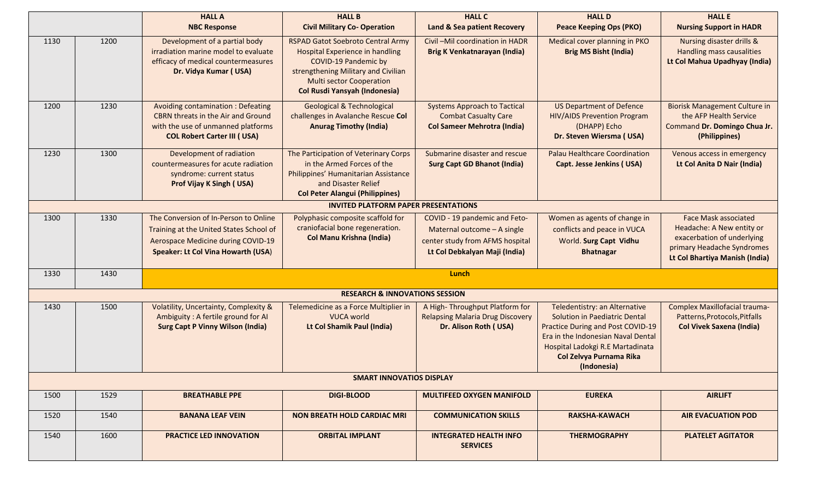|      |      | <b>HALL A</b><br><b>NBC Response</b>                                                                                                                                | <b>HALL B</b><br><b>Civil Military Co- Operation</b>                                                                                                                                                                         | <b>HALL C</b><br><b>Land &amp; Sea patient Recovery</b>                                                                          | <b>HALL D</b><br><b>Peace Keeping Ops (PKO)</b>                                                                                                                                                                                | <b>HALL E</b><br><b>Nursing Support in HADR</b>                                                                                                        |
|------|------|---------------------------------------------------------------------------------------------------------------------------------------------------------------------|------------------------------------------------------------------------------------------------------------------------------------------------------------------------------------------------------------------------------|----------------------------------------------------------------------------------------------------------------------------------|--------------------------------------------------------------------------------------------------------------------------------------------------------------------------------------------------------------------------------|--------------------------------------------------------------------------------------------------------------------------------------------------------|
| 1130 | 1200 | Development of a partial body<br>irradiation marine model to evaluate<br>efficacy of medical countermeasures<br>Dr. Vidya Kumar (USA)                               | RSPAD Gatot Soebroto Central Army<br><b>Hospital Experience in handling</b><br><b>COVID-19 Pandemic by</b><br>strengthening Military and Civilian<br><b>Multi sector Cooperation</b><br><b>Col Rusdi Yansyah (Indonesia)</b> | Civil-Mil coordination in HADR<br>Brig K Venkatnarayan (India)                                                                   | Medical cover planning in PKO<br><b>Brig MS Bisht (India)</b>                                                                                                                                                                  | Nursing disaster drills &<br>Handling mass causalities<br>Lt Col Mahua Upadhyay (India)                                                                |
| 1200 | 1230 | Avoiding contamination : Defeating<br><b>CBRN</b> threats in the Air and Ground<br>with the use of unmanned platforms<br><b>COL Robert Carter III (USA)</b>         | <b>Geological &amp; Technological</b><br>challenges in Avalanche Rescue Col<br><b>Anurag Timothy (India)</b>                                                                                                                 | <b>Systems Approach to Tactical</b><br><b>Combat Casualty Care</b><br><b>Col Sameer Mehrotra (India)</b>                         | <b>US Department of Defence</b><br><b>HIV/AIDS Prevention Program</b><br>(DHAPP) Echo<br>Dr. Steven Wiersma (USA)                                                                                                              | <b>Biorisk Management Culture in</b><br>the AFP Health Service<br>Command Dr. Domingo Chua Jr.<br>(Philippines)                                        |
| 1230 | 1300 | Development of radiation<br>countermeasures for acute radiation<br>syndrome: current status<br><b>Prof Vijay K Singh (USA)</b>                                      | The Participation of Veterinary Corps<br>in the Armed Forces of the<br>Philippines' Humanitarian Assistance<br>and Disaster Relief<br><b>Col Peter Alangui (Philippines)</b>                                                 | Submarine disaster and rescue<br><b>Surg Capt GD Bhanot (India)</b>                                                              | Palau Healthcare Coordination<br><b>Capt. Jesse Jenkins (USA)</b>                                                                                                                                                              | Venous access in emergency<br>Lt Col Anita D Nair (India)                                                                                              |
|      |      |                                                                                                                                                                     | <b>INVITED PLATFORM PAPER PRESENTATIONS</b>                                                                                                                                                                                  |                                                                                                                                  |                                                                                                                                                                                                                                |                                                                                                                                                        |
| 1300 | 1330 | The Conversion of In-Person to Online<br>Training at the United States School of<br>Aerospace Medicine during COVID-19<br><b>Speaker: Lt Col Vina Howarth (USA)</b> | Polyphasic composite scaffold for<br>craniofacial bone regeneration.<br><b>Col Manu Krishna (India)</b>                                                                                                                      | COVID - 19 pandemic and Feto-<br>Maternal outcome - A single<br>center study from AFMS hospital<br>Lt Col Debkalyan Maji (India) | Women as agents of change in<br>conflicts and peace in VUCA<br>World. Surg Capt Vidhu<br><b>Bhatnagar</b>                                                                                                                      | <b>Face Mask associated</b><br>Headache: A New entity or<br>exacerbation of underlying<br>primary Headache Syndromes<br>Lt Col Bhartiya Manish (India) |
| 1330 | 1430 |                                                                                                                                                                     |                                                                                                                                                                                                                              | Lunch                                                                                                                            |                                                                                                                                                                                                                                |                                                                                                                                                        |
|      |      |                                                                                                                                                                     | <b>RESEARCH &amp; INNOVATIONS SESSION</b>                                                                                                                                                                                    |                                                                                                                                  |                                                                                                                                                                                                                                |                                                                                                                                                        |
| 1430 | 1500 | Volatility, Uncertainty, Complexity &<br>Ambiguity: A fertile ground for AI<br><b>Surg Capt P Vinny Wilson (India)</b>                                              | Telemedicine as a Force Multiplier in<br><b>VUCA world</b><br>Lt Col Shamik Paul (India)                                                                                                                                     | A High-Throughput Platform for<br><b>Relapsing Malaria Drug Discovery</b><br>Dr. Alison Roth (USA)                               | Teledentistry: an Alternative<br>Solution in Paediatric Dental<br><b>Practice During and Post COVID-19</b><br>Era in the Indonesian Naval Dental<br>Hospital Ladokgi R.E Martadinata<br>Col Zelvya Purnama Rika<br>(Indonesia) | Complex Maxillofacial trauma-<br>Patterns, Protocols, Pitfalls<br><b>Col Vivek Saxena (India)</b>                                                      |
|      |      |                                                                                                                                                                     | <b>SMART INNOVATIOS DISPLAY</b>                                                                                                                                                                                              |                                                                                                                                  |                                                                                                                                                                                                                                |                                                                                                                                                        |
| 1500 | 1529 | <b>BREATHABLE PPE</b>                                                                                                                                               | <b>DIGI-BLOOD</b>                                                                                                                                                                                                            | <b>MULTIFEED OXYGEN MANIFOLD</b>                                                                                                 | <b>EUREKA</b>                                                                                                                                                                                                                  | <b>AIRLIFT</b>                                                                                                                                         |
| 1520 | 1540 | <b>BANANA LEAF VEIN</b>                                                                                                                                             | <b>NON BREATH HOLD CARDIAC MRI</b>                                                                                                                                                                                           | <b>COMMUNICATION SKILLS</b>                                                                                                      | <b>RAKSHA-KAWACH</b>                                                                                                                                                                                                           | <b>AIR EVACUATION POD</b>                                                                                                                              |
| 1540 | 1600 | <b>PRACTICE LED INNOVATION</b>                                                                                                                                      | <b>ORBITAL IMPLANT</b>                                                                                                                                                                                                       | <b>INTEGRATED HEALTH INFO</b><br><b>SERVICES</b>                                                                                 | <b>THERMOGRAPHY</b>                                                                                                                                                                                                            | <b>PLATELET AGITATOR</b>                                                                                                                               |